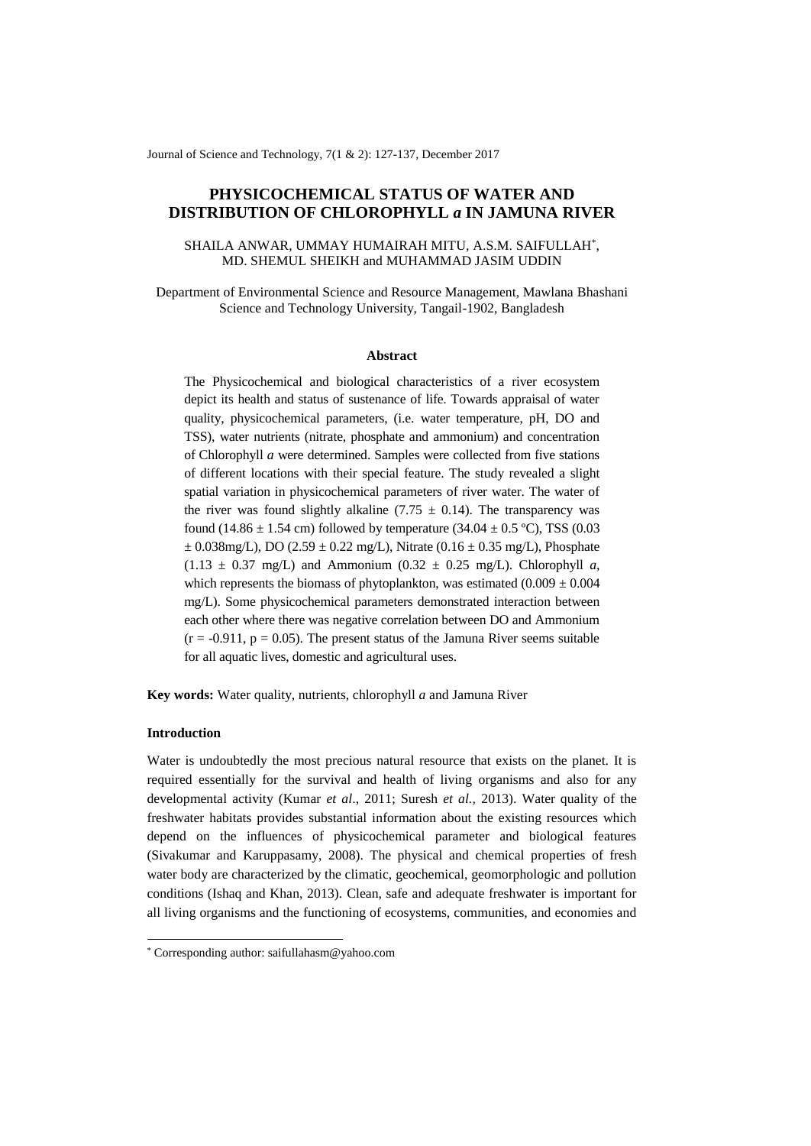Journal of Science and Technology, 7(1 & 2): 127-137, December 2017

# **PHYSICOCHEMICAL STATUS OF WATER AND DISTRIBUTION OF CHLOROPHYLL** *a* **IN JAMUNA RIVER**

# SHAILA ANWAR, UMMAY HUMAIRAH MITU, A.S.M. SAIFULLAH\* , MD. SHEMUL SHEIKH and MUHAMMAD JASIM UDDIN

Department of Environmental Science and Resource Management, Mawlana Bhashani Science and Technology University, Tangail-1902, Bangladesh

## **Abstract**

The Physicochemical and biological characteristics of a river ecosystem depict its health and status of sustenance of life. Towards appraisal of water quality, physicochemical parameters, (i.e. water temperature, pH, DO and TSS), water nutrients (nitrate, phosphate and ammonium) and concentration of Chlorophyll *a* were determined. Samples were collected from five stations of different locations with their special feature. The study revealed a slight spatial variation in physicochemical parameters of river water. The water of the river was found slightly alkaline  $(7.75 \pm 0.14)$ . The transparency was found (14.86  $\pm$  1.54 cm) followed by temperature (34.04  $\pm$  0.5 °C), TSS (0.03  $\pm$  0.038mg/L), DO (2.59  $\pm$  0.22 mg/L), Nitrate (0.16  $\pm$  0.35 mg/L), Phosphate  $(1.13 \pm 0.37 \text{ mg/L})$  and Ammonium  $(0.32 \pm 0.25 \text{ mg/L})$ . Chlorophyll *a*, which represents the biomass of phytoplankton, was estimated  $(0.009 \pm 0.004$ mg/L). Some physicochemical parameters demonstrated interaction between each other where there was negative correlation between DO and Ammonium  $(r = -0.911, p = 0.05)$ . The present status of the Jamuna River seems suitable for all aquatic lives, domestic and agricultural uses.

**Key words:** Water quality, nutrients, chlorophyll *a* and Jamuna River

## **Introduction**

1

Water is undoubtedly the most precious natural resource that exists on the planet. It is required essentially for the survival and health of living organisms and also for any developmental activity (Kumar *et al*., 2011; Suresh *et al.,* 2013). Water quality of the freshwater habitats provides substantial information about the existing resources which depend on the influences of physicochemical parameter and biological features (Sivakumar and Karuppasamy, 2008). The physical and chemical properties of fresh water body are characterized by the climatic, geochemical, geomorphologic and pollution conditions (Ishaq and Khan, 2013). Clean, safe and adequate freshwater is important for all living organisms and the functioning of ecosystems, communities, and economies and

<sup>\*</sup> Corresponding author: saifullahasm@yahoo.com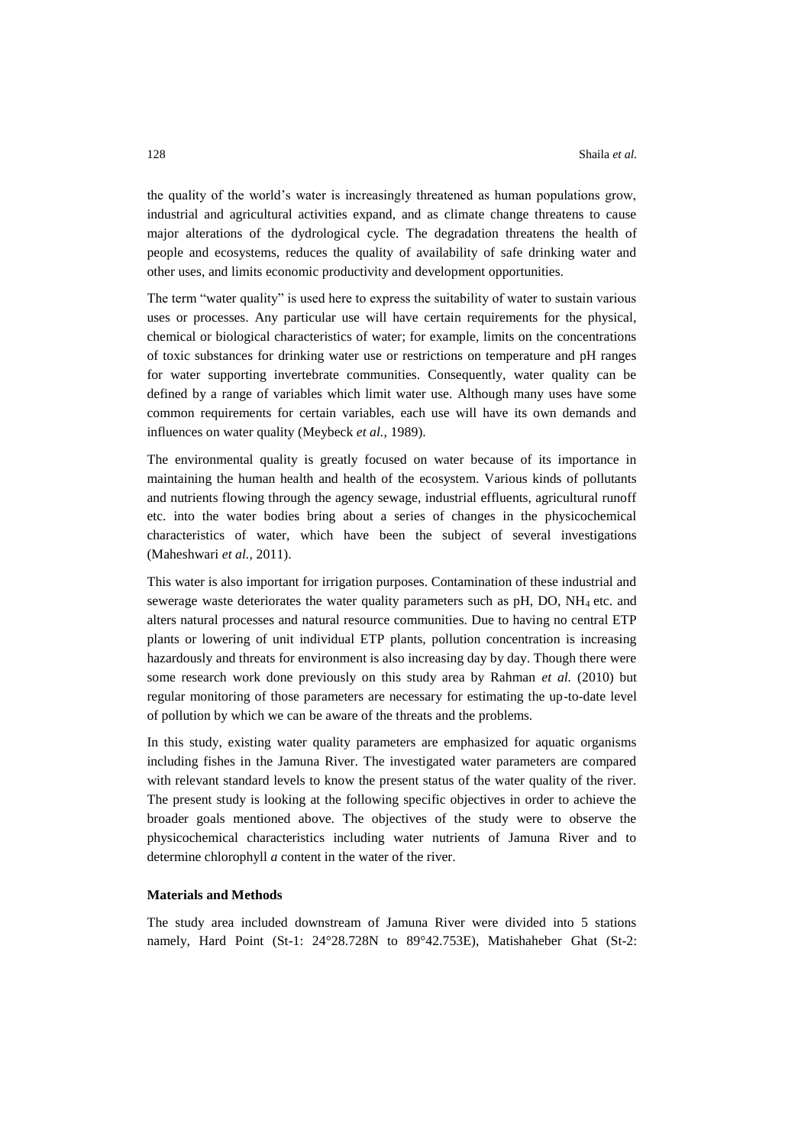the quality of the world's water is increasingly threatened as human populations grow, industrial and agricultural activities expand, and as climate change threatens to cause major alterations of the dydrological cycle. The degradation threatens the health of people and ecosystems, reduces the quality of availability of safe drinking water and other uses, and limits economic productivity and development opportunities.

The term "water quality" is used here to express the suitability of water to sustain various uses or processes. Any particular use will have certain requirements for the physical, chemical or biological characteristics of water; for example, limits on the concentrations of toxic substances for drinking water use or restrictions on temperature and pH ranges for water supporting invertebrate communities. Consequently, water quality can be defined by a range of variables which limit water use. Although many uses have some common requirements for certain variables, each use will have its own demands and influences on water quality (Meybeck *et al.*, 1989).

The environmental quality is greatly focused on water because of its importance in maintaining the human health and health of the ecosystem. Various kinds of pollutants and nutrients flowing through the agency sewage, industrial effluents, agricultural runoff etc. into the water bodies bring about a series of changes in the physicochemical characteristics of water, which have been the subject of several investigations (Maheshwari *et al.,* 2011).

This water is also important for irrigation purposes. Contamination of these industrial and sewerage waste deteriorates the water quality parameters such as pH, DO, NH4 etc. and alters natural processes and natural resource communities. Due to having no central ETP plants or lowering of unit individual ETP plants, pollution concentration is increasing hazardously and threats for environment is also increasing day by day. Though there were some research work done previously on this study area by Rahman *et al.* (2010) but regular monitoring of those parameters are necessary for estimating the up-to-date level of pollution by which we can be aware of the threats and the problems.

In this study, existing water quality parameters are emphasized for aquatic organisms including fishes in the Jamuna River. The investigated water parameters are compared with relevant standard levels to know the present status of the water quality of the river. The present study is looking at the following specific objectives in order to achieve the broader goals mentioned above. The objectives of the study were to observe the physicochemical characteristics including water nutrients of Jamuna River and to determine chlorophyll *a* content in the water of the river.

#### **Materials and Methods**

The study area included downstream of Jamuna River were divided into 5 stations namely, Hard Point (St-1: 24°28.728N to 89°42.753E), Matishaheber Ghat (St-2: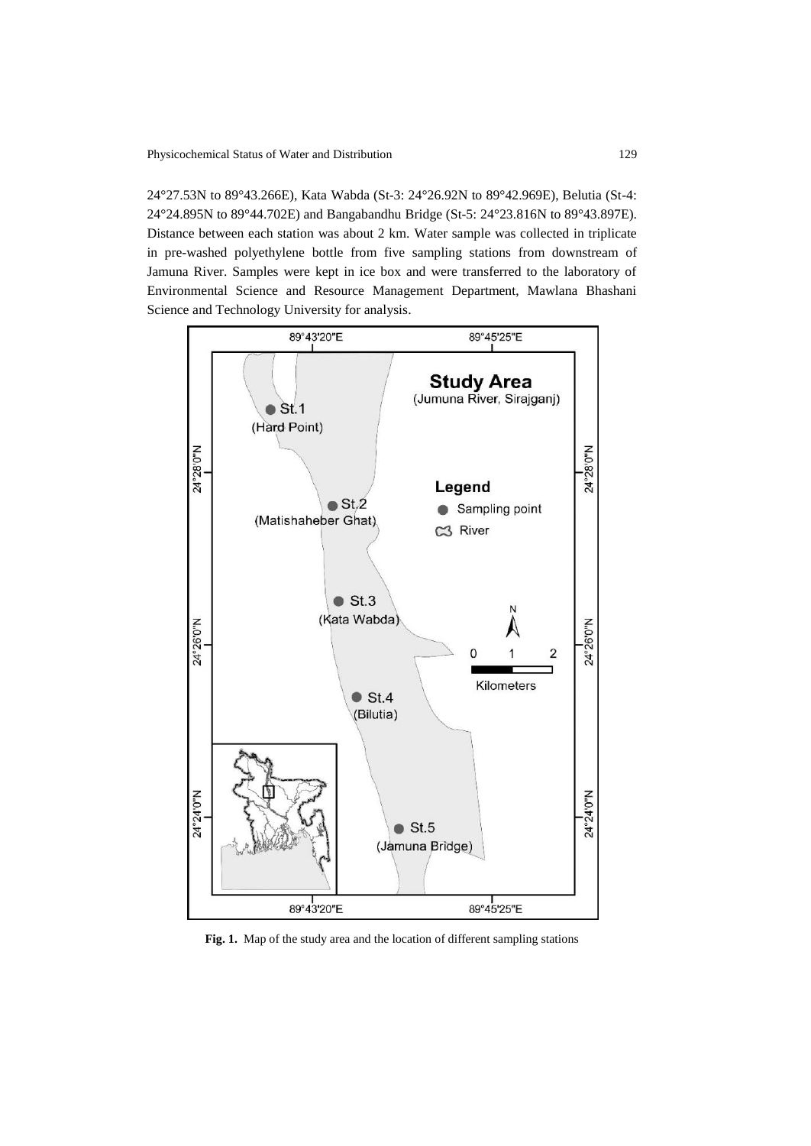24°27.53N to 89°43.266E), Kata Wabda (St-3: 24°26.92N to 89°42.969E), Belutia (St-4: 24°24.895N to 89°44.702E) and Bangabandhu Bridge (St-5: 24°23.816N to 89°43.897E). Distance between each station was about 2 km. Water sample was collected in triplicate in pre-washed polyethylene bottle from five sampling stations from downstream of Jamuna River. Samples were kept in ice box and were transferred to the laboratory of Environmental Science and Resource Management Department, Mawlana Bhashani Science and Technology University for analysis.



**Fig. 1.** Map of the study area and the location of different sampling stations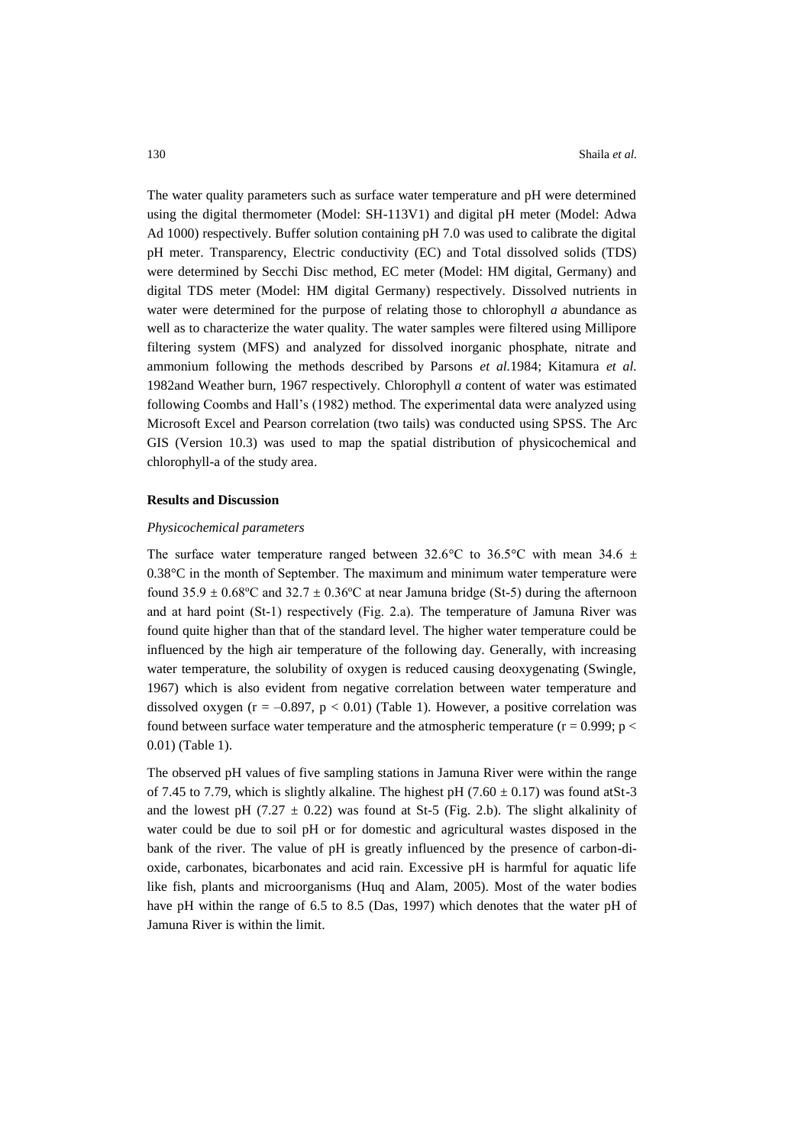The water quality parameters such as surface water temperature and pH were determined using the digital thermometer (Model: SH-113V1) and digital pH meter (Model: Adwa Ad 1000) respectively. Buffer solution containing pH 7.0 was used to calibrate the digital pH meter. Transparency, Electric conductivity (EC) and Total dissolved solids (TDS) were determined by Secchi Disc method, EC meter (Model: HM digital, Germany) and digital TDS meter (Model: HM digital Germany) respectively. Dissolved nutrients in water were determined for the purpose of relating those to chlorophyll *a* abundance as well as to characterize the water quality. The water samples were filtered using Millipore filtering system (MFS) and analyzed for dissolved inorganic phosphate, nitrate and ammonium following the methods described by Parsons *et al.*1984; Kitamura *et al.* 1982and Weather burn, 1967 respectively. Chlorophyll *a* content of water was estimated following Coombs and Hall's (1982) method. The experimental data were analyzed using Microsoft Excel and Pearson correlation (two tails) was conducted using SPSS. The Arc GIS (Version 10.3) was used to map the spatial distribution of physicochemical and chlorophyll-a of the study area.

#### **Results and Discussion**

#### *Physicochemical parameters*

The surface water temperature ranged between 32.6°C to 36.5°C with mean 34.6  $\pm$ 0.38°C in the month of September. The maximum and minimum water temperature were found 35.9  $\pm$  0.68°C and 32.7  $\pm$  0.36°C at near Jamuna bridge (St-5) during the afternoon and at hard point (St-1) respectively (Fig. 2.a). The temperature of Jamuna River was found quite higher than that of the standard level. The higher water temperature could be influenced by the high air temperature of the following day. Generally, with increasing water temperature, the solubility of oxygen is reduced causing deoxygenating (Swingle, 1967) which is also evident from negative correlation between water temperature and dissolved oxygen ( $r = -0.897$ ,  $p < 0.01$ ) (Table 1). However, a positive correlation was found between surface water temperature and the atmospheric temperature ( $r = 0.999$ ; p < 0.01) (Table 1).

The observed pH values of five sampling stations in Jamuna River were within the range of 7.45 to 7.79, which is slightly alkaline. The highest pH (7.60  $\pm$  0.17) was found atSt-3 and the lowest pH (7.27  $\pm$  0.22) was found at St-5 (Fig. 2.b). The slight alkalinity of water could be due to soil pH or for domestic and agricultural wastes disposed in the bank of the river. The value of pH is greatly influenced by the presence of carbon-dioxide, carbonates, bicarbonates and acid rain. Excessive pH is harmful for aquatic life like fish, plants and microorganisms (Huq and Alam, 2005). Most of the water bodies have pH within the range of 6.5 to 8.5 (Das, 1997) which denotes that the water pH of Jamuna River is within the limit.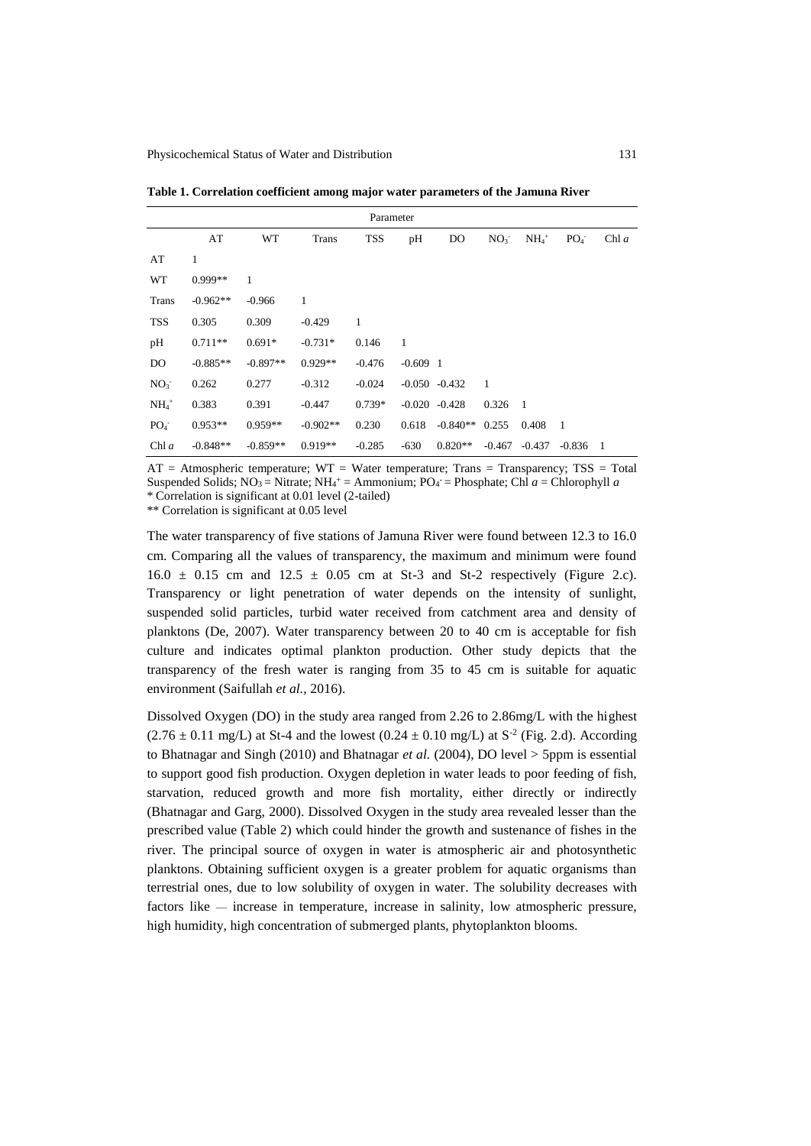**Table 1. Correlation coefficient among major water parameters of the Jamuna River**

| Parameter       |            |            |              |              |            |                  |                 |                     |                 |       |
|-----------------|------------|------------|--------------|--------------|------------|------------------|-----------------|---------------------|-----------------|-------|
|                 | AT         | WT         | <b>Trans</b> | <b>TSS</b>   | pН         | DO               | NO <sub>3</sub> | $NH_4$ <sup>+</sup> | PO <sub>4</sub> | Chl a |
| AT              | 1          |            |              |              |            |                  |                 |                     |                 |       |
| <b>WT</b>       | $0.999**$  | 1          |              |              |            |                  |                 |                     |                 |       |
| <b>Trans</b>    | $-0.962**$ | $-0.966$   | 1            |              |            |                  |                 |                     |                 |       |
| <b>TSS</b>      | 0.305      | 0.309      | $-0.429$     | $\mathbf{1}$ |            |                  |                 |                     |                 |       |
| pH              | $0.711**$  | $0.691*$   | $-0.731*$    | 0.146        | 1          |                  |                 |                     |                 |       |
| DO              | $-0.885**$ | $-0.897**$ | $0.929**$    | $-0.476$     | $-0.609$ 1 |                  |                 |                     |                 |       |
| NO <sub>3</sub> | 0.262      | 0.277      | $-0.312$     | $-0.024$     |            | $-0.050 - 0.432$ | -1              |                     |                 |       |
| $NH4+$          | 0.383      | 0.391      | $-0.447$     | $0.739*$     |            | $-0.020 -0.428$  | 0.326           | -1                  |                 |       |
| PO <sub>4</sub> | $0.953**$  | $0.959**$  | $-0.902**$   | 0.230        | 0.618      | $-0.840**$       | 0.255           | 0.408               | - 1             |       |
| Chl a           | $-0.848**$ | $-0.859**$ | $0.919**$    | $-0.285$     | $-630$     | $0.820**$        | $-0.467$        | $-0.437$            | $-0.836$        | - 1   |

 $AT =$  Atmospheric temperature; WT = Water temperature; Trans = Transparency; TSS = Total Suspended Solids; NO<sub>3</sub> = Nitrate; NH<sub>4</sub><sup>+</sup> = Ammonium; PO<sub>4</sub><sup>-</sup> = Phosphate; Chl *a* = Chlorophyll *a* \* Correlation is significant at 0.01 level (2-tailed)

\*\* Correlation is significant at 0.05 level

The water transparency of five stations of Jamuna River were found between 12.3 to 16.0 cm. Comparing all the values of transparency, the maximum and minimum were found  $16.0 \pm 0.15$  cm and  $12.5 \pm 0.05$  cm at St-3 and St-2 respectively (Figure 2.c). Transparency or light penetration of water depends on the intensity of sunlight, suspended solid particles, turbid water received from catchment area and density of planktons (De, 2007). Water transparency between 20 to 40 cm is acceptable for fish culture and indicates optimal plankton production. Other study depicts that the transparency of the fresh water is ranging from 35 to 45 cm is suitable for aquatic environment (Saifullah *et al.,* 2016).

Dissolved Oxygen (DO) in the study area ranged from 2.26 to 2.86mg/L with the highest  $(2.76 \pm 0.11 \text{ mg/L})$  at St-4 and the lowest  $(0.24 \pm 0.10 \text{ mg/L})$  at S<sup>-2</sup> (Fig. 2.d). According to Bhatnagar and Singh (2010) and Bhatnagar *et al.* (2004), DO level > 5ppm is essential to support good fish production. Oxygen depletion in water leads to poor feeding of fish, starvation, reduced growth and more fish mortality, either directly or indirectly (Bhatnagar and Garg, 2000). Dissolved Oxygen in the study area revealed lesser than the prescribed value (Table 2) which could hinder the growth and sustenance of fishes in the river. The principal source of oxygen in water is atmospheric air and photosynthetic planktons. Obtaining sufficient oxygen is a greater problem for aquatic organisms than terrestrial ones, due to low solubility of oxygen in water. The solubility decreases with factors like — increase in temperature, increase in salinity, low atmospheric pressure, high humidity, high concentration of submerged plants, phytoplankton blooms.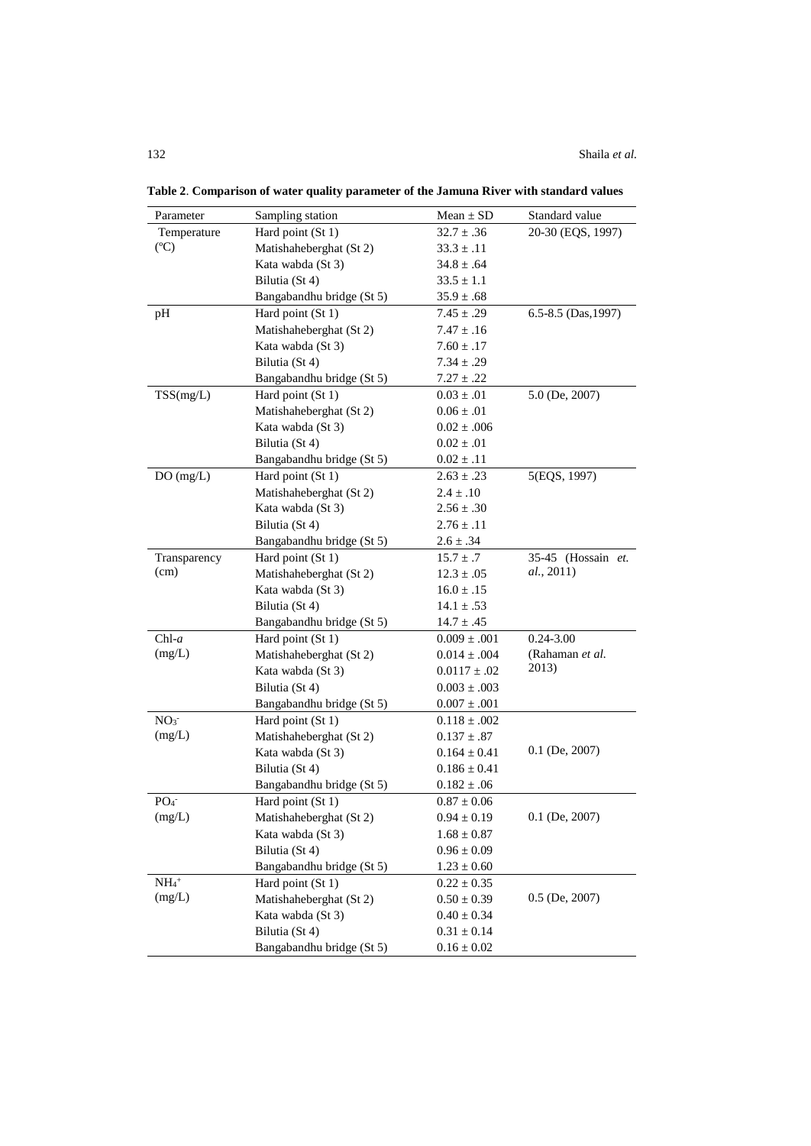| Parameter         | Sampling station          | $Mean \pm SD$    | Standard value          |
|-------------------|---------------------------|------------------|-------------------------|
| Temperature       | Hard point (St 1)         | $32.7 \pm .36$   | 20-30 (EQS, 1997)       |
| (C)               | Matishaheberghat (St 2)   | $33.3 \pm .11$   |                         |
|                   | Kata wabda (St 3)         | $34.8 \pm .64$   |                         |
|                   | Bilutia (St 4)            | $33.5 \pm 1.1$   |                         |
|                   | Bangabandhu bridge (St 5) | $35.9 \pm .68$   |                         |
| pH                | Hard point (St 1)         | $7.45 \pm .29$   | $6.5 - 8.5$ (Das, 1997) |
|                   | Matishaheberghat (St 2)   | $7.47 \pm .16$   |                         |
|                   | Kata wabda (St 3)         | $7.60 \pm .17$   |                         |
|                   | Bilutia (St 4)            | $7.34\pm.29$     |                         |
|                   | Bangabandhu bridge (St 5) | $7.27 \pm .22$   |                         |
| TSS(mg/L)         | Hard point (St 1)         | $0.03 \pm .01$   | $5.0$ (De, 2007)        |
|                   | Matishaheberghat (St 2)   | $0.06 \pm .01$   |                         |
|                   | Kata wabda (St 3)         | $0.02 \pm .006$  |                         |
|                   | Bilutia (St 4)            | $0.02 \pm .01$   |                         |
|                   | Bangabandhu bridge (St 5) | $0.02 \pm .11$   |                         |
| DO(mg/L)          | Hard point (St 1)         | $2.63 \pm .23$   | 5(EQS, 1997)            |
|                   | Matishaheberghat (St 2)   | $2.4 \pm .10$    |                         |
|                   | Kata wabda (St 3)         | $2.56 \pm .30$   |                         |
|                   | Bilutia (St 4)            | $2.76 \pm .11$   |                         |
|                   | Bangabandhu bridge (St 5) | $2.6 \pm .34$    |                         |
| Transparency      | Hard point (St 1)         | $15.7 \pm .7$    | 35-45 (Hossain et.      |
| (cm)              | Matishaheberghat (St 2)   | $12.3 \pm .05$   | al., 2011)              |
|                   | Kata wabda (St 3)         | $16.0 \pm .15$   |                         |
|                   | Bilutia (St 4)            | $14.1 \pm .53$   |                         |
|                   | Bangabandhu bridge (St 5) | $14.7 \pm .45$   |                         |
| $Chl-a$           | Hard point (St 1)         | $0.009 \pm .001$ | $0.24 - 3.00$           |
| (mg/L)            | Matishaheberghat (St 2)   | $0.014 \pm .004$ | (Rahaman et al.         |
|                   | Kata wabda (St 3)         | $0.0117 \pm .02$ | 2013)                   |
|                   | Bilutia (St 4)            | $0.003 \pm .003$ |                         |
|                   | Bangabandhu bridge (St 5) | $0.007 \pm .001$ |                         |
| NO <sub>3</sub>   | Hard point (St 1)         | $0.118 \pm .002$ |                         |
| (mg/L)            | Matishaheberghat (St 2)   | $0.137 \pm .87$  |                         |
|                   | Kata wabda (St 3)         | $0.164 \pm 0.41$ | $0.1$ (De, 2007)        |
|                   | Bilutia (St 4)            | $0.186 \pm 0.41$ |                         |
|                   | Bangabandhu bridge (St 5) | $0.182\pm.06$    |                         |
| PO <sub>4</sub>   | Hard point (St 1)         | $0.87 \pm 0.06$  |                         |
| (mg/L)            | Matishaheberghat (St 2)   | $0.94 \pm 0.19$  | $0.1$ (De, 2007)        |
|                   | Kata wabda (St 3)         | $1.68 \pm 0.87$  |                         |
|                   | Bilutia (St 4)            | $0.96 \pm 0.09$  |                         |
|                   | Bangabandhu bridge (St 5) | $1.23 \pm 0.60$  |                         |
| $\mathrm{NH_4}^+$ | Hard point (St 1)         | $0.22 \pm 0.35$  |                         |
| (mg/L)            | Matishaheberghat (St 2)   | $0.50 \pm 0.39$  | $0.5$ (De, 2007)        |
|                   | Kata wabda (St 3)         | $0.40 \pm 0.34$  |                         |
|                   | Bilutia (St 4)            | $0.31\pm0.14$    |                         |
|                   | Bangabandhu bridge (St 5) | $0.16 \pm 0.02$  |                         |
|                   |                           |                  |                         |

**Table 2**. **Comparison of water quality parameter of the Jamuna River with standard values**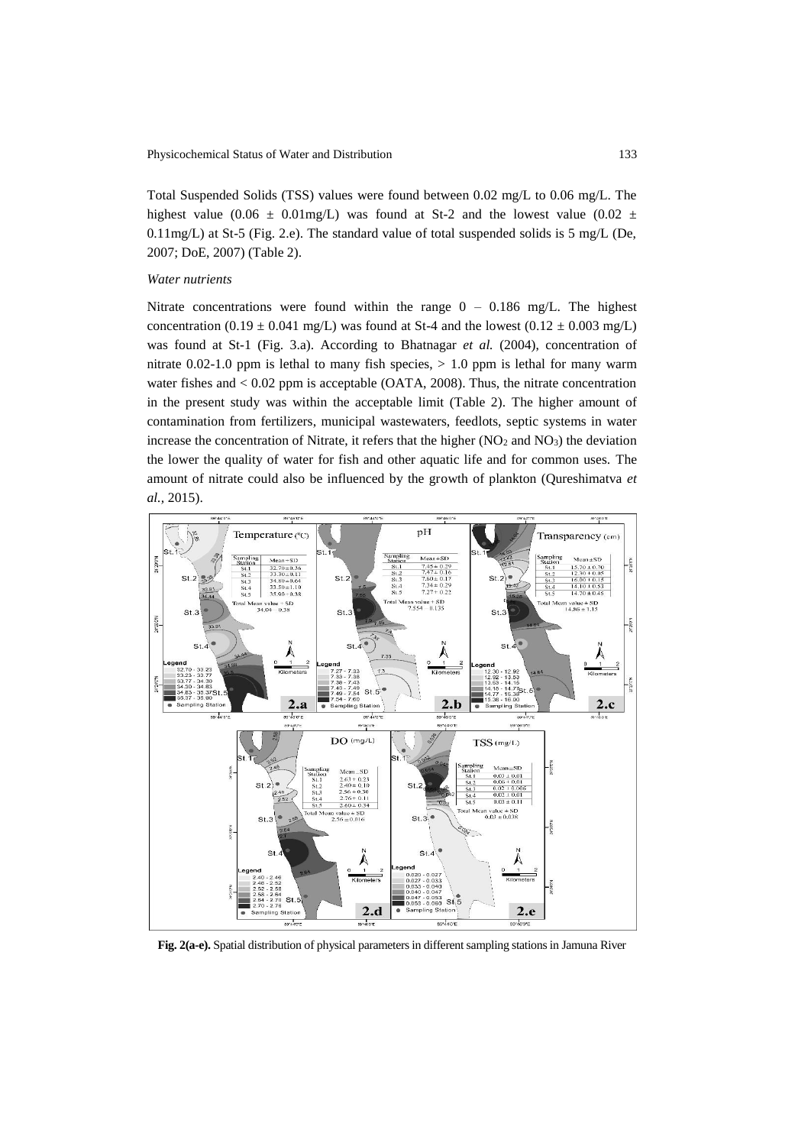Total Suspended Solids (TSS) values were found between 0.02 mg/L to 0.06 mg/L. The highest value (0.06  $\pm$  0.01mg/L) was found at St-2 and the lowest value (0.02  $\pm$ 0.11mg/L) at St-5 (Fig. 2.e). The standard value of total suspended solids is 5 mg/L (De, 2007; DoE, 2007) (Table 2).

# *Water nutrients*

Nitrate concentrations were found within the range  $0 - 0.186$  mg/L. The highest concentration (0.19  $\pm$  0.041 mg/L) was found at St-4 and the lowest (0.12  $\pm$  0.003 mg/L) was found at St-1 (Fig. 3.a). According to Bhatnagar *et al.* (2004), concentration of nitrate  $0.02$ -1.0 ppm is lethal to many fish species,  $> 1.0$  ppm is lethal for many warm water fishes and < 0.02 ppm is acceptable (OATA, 2008). Thus, the nitrate concentration in the present study was within the acceptable limit (Table 2). The higher amount of contamination from fertilizers, municipal wastewaters, feedlots, septic systems in water increase the concentration of Nitrate, it refers that the higher  $(NO<sub>2</sub>$  and  $NO<sub>3</sub>)$  the deviation the lower the quality of water for fish and other aquatic life and for common uses. The amount of nitrate could also be influenced by the growth of plankton (Qureshimatva *et al.,* 2015).



**Fig. 2(a-e).** Spatial distribution of physical parameters in different sampling stations in Jamuna River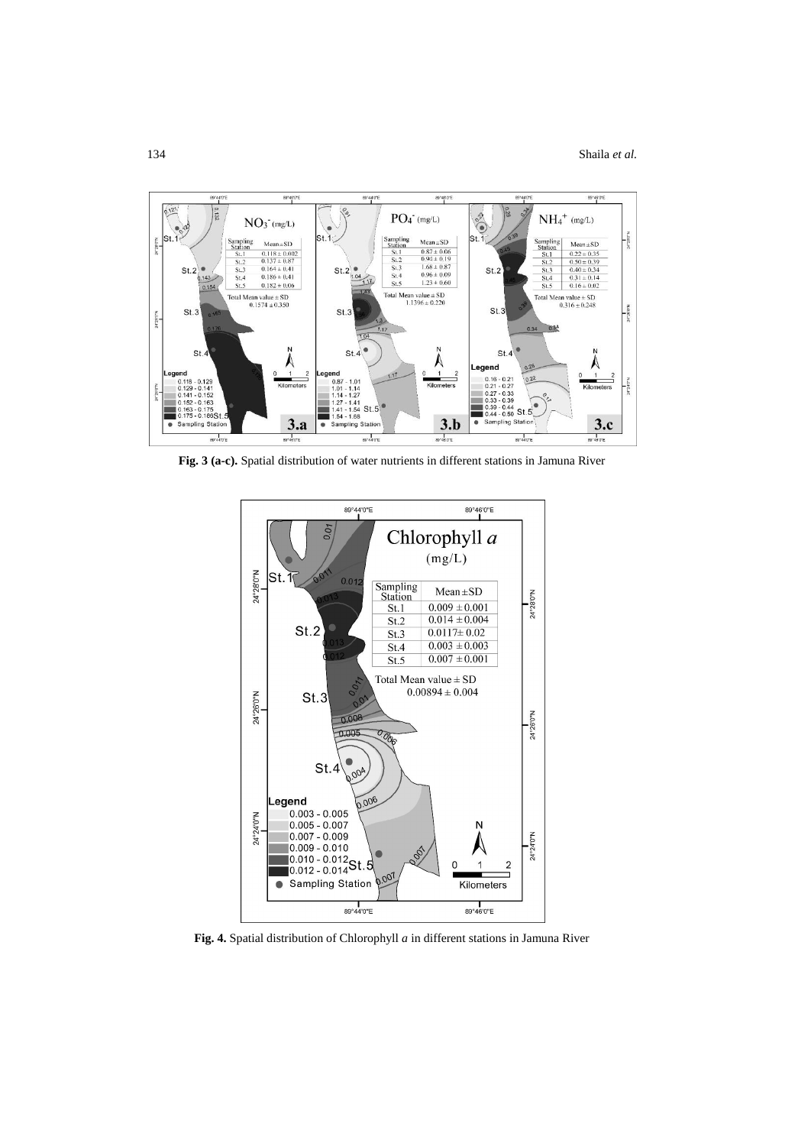

**Fig. 3 (a-c).** Spatial distribution of water nutrients in different stations in Jamuna River



**Fig. 4.** Spatial distribution of Chlorophyll *a* in different stations in Jamuna River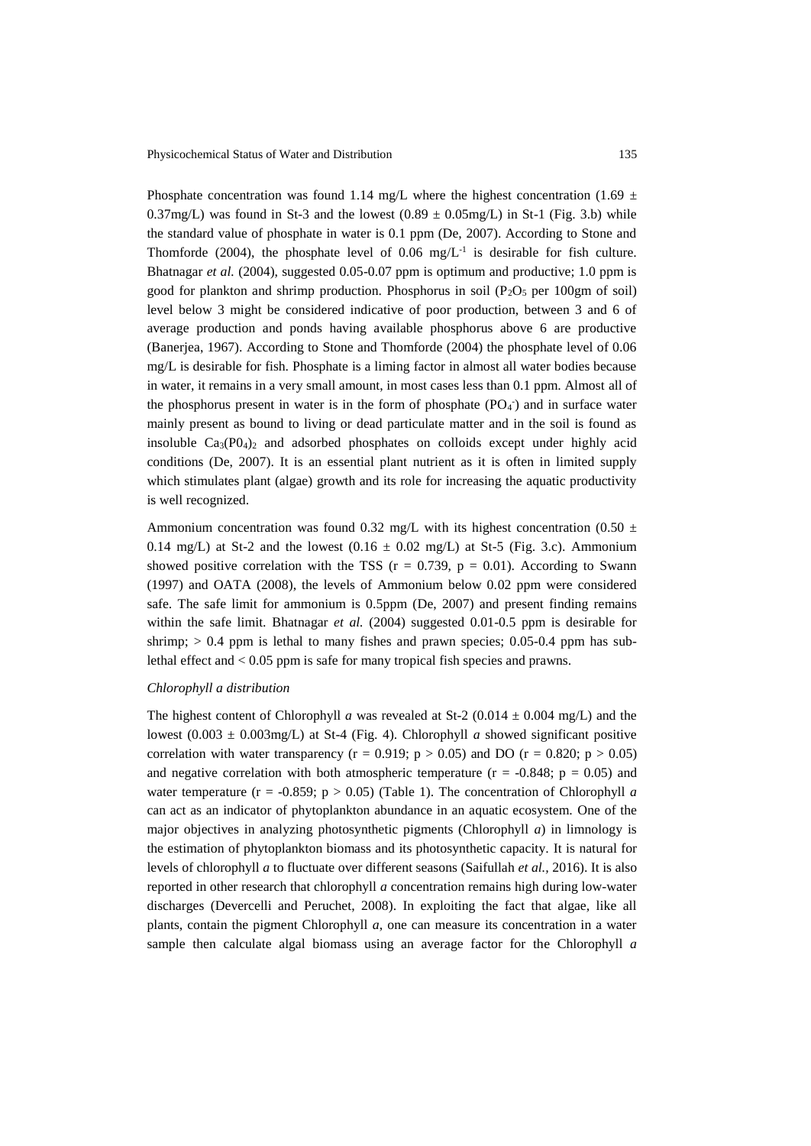Phosphate concentration was found 1.14 mg/L where the highest concentration (1.69  $\pm$ 0.37mg/L) was found in St-3 and the lowest  $(0.89 \pm 0.05 \text{mg/L})$  in St-1 (Fig. 3.b) while the standard value of phosphate in water is 0.1 ppm (De, 2007). According to Stone and Thomforde (2004), the phosphate level of 0.06 mg/ $L^{-1}$  is desirable for fish culture. Bhatnagar *et al.* (2004), suggested 0.05-0.07 ppm is optimum and productive; 1.0 ppm is good for plankton and shrimp production. Phosphorus in soil ( $P_2O_5$  per 100gm of soil) level below 3 might be considered indicative of poor production, between 3 and 6 of average production and ponds having available phosphorus above 6 are productive (Banerjea, 1967). According to Stone and Thomforde (2004) the phosphate level of 0.06 mg/L is desirable for fish. Phosphate is a liming factor in almost all water bodies because in water, it remains in a very small amount, in most cases less than 0.1 ppm. Almost all of the phosphorus present in water is in the form of phosphate  $(PO_4^-)$  and in surface water mainly present as bound to living or dead particulate matter and in the soil is found as insoluble  $Ca_3(P0_4)$  and adsorbed phosphates on colloids except under highly acid conditions (De, 2007). It is an essential plant nutrient as it is often in limited supply which stimulates plant (algae) growth and its role for increasing the aquatic productivity is well recognized.

Ammonium concentration was found 0.32 mg/L with its highest concentration (0.50  $\pm$ 0.14 mg/L) at St-2 and the lowest  $(0.16 \pm 0.02 \text{ mg/L})$  at St-5 (Fig. 3.c). Ammonium showed positive correlation with the TSS  $(r = 0.739, p = 0.01)$ . According to Swann (1997) and OATA (2008), the levels of Ammonium below 0.02 ppm were considered safe. The safe limit for ammonium is 0.5ppm (De, 2007) and present finding remains within the safe limit. Bhatnagar *et al.* (2004) suggested 0.01-0.5 ppm is desirable for shrimp;  $> 0.4$  ppm is lethal to many fishes and prawn species; 0.05-0.4 ppm has sublethal effect and < 0.05 ppm is safe for many tropical fish species and prawns.

### *Chlorophyll a distribution*

The highest content of Chlorophyll *a* was revealed at St-2 (0.014  $\pm$  0.004 mg/L) and the lowest  $(0.003 \pm 0.003$  mg/L) at St-4 (Fig. 4). Chlorophyll *a* showed significant positive correlation with water transparency ( $r = 0.919$ ;  $p > 0.05$ ) and DO ( $r = 0.820$ ;  $p > 0.05$ ) and negative correlation with both atmospheric temperature ( $r = -0.848$ ;  $p = 0.05$ ) and water temperature ( $r = -0.859$ ;  $p > 0.05$ ) (Table 1). The concentration of Chlorophyll *a* can act as an indicator of phytoplankton abundance in an aquatic ecosystem. One of the major objectives in analyzing photosynthetic pigments (Chlorophyll *a*) in limnology is the estimation of phytoplankton biomass and its photosynthetic capacity. It is natural for levels of chlorophyll *a* to fluctuate over different seasons (Saifullah *et al.,* 2016). It is also reported in other research that chlorophyll *a* concentration remains high during low-water discharges (Devercelli and Peruchet, 2008). In exploiting the fact that algae, like all plants, contain the pigment Chlorophyll *a*, one can measure its concentration in a water sample then calculate algal biomass using an average factor for the Chlorophyll *a*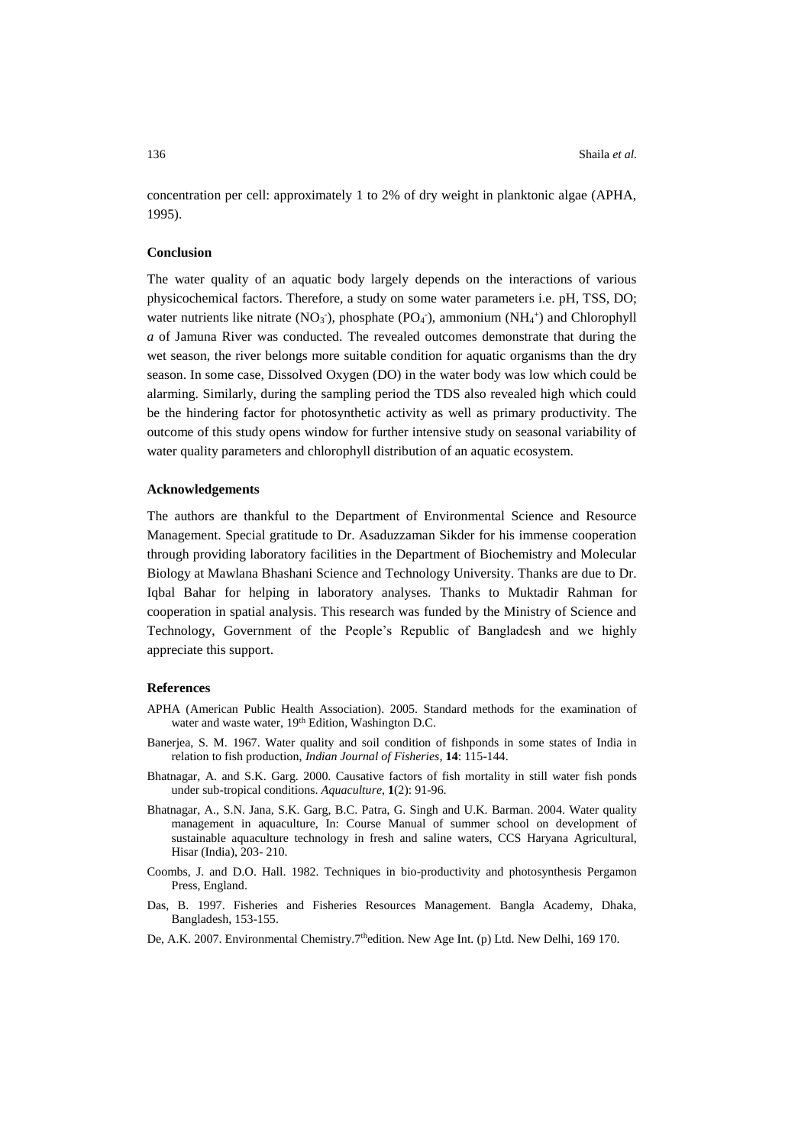concentration per cell: approximately 1 to 2% of dry weight in planktonic algae (APHA, 1995).

# **Conclusion**

The water quality of an aquatic body largely depends on the interactions of various physicochemical factors. Therefore, a study on some water parameters i.e. pH, TSS, DO; water nutrients like nitrate (NO<sub>3</sub><sup>-</sup>), phosphate (PO<sub>4</sub><sup>-</sup>), ammonium (NH<sub>4</sub><sup>+</sup>) and Chlorophyll *a* of Jamuna River was conducted. The revealed outcomes demonstrate that during the wet season, the river belongs more suitable condition for aquatic organisms than the dry season. In some case, Dissolved Oxygen (DO) in the water body was low which could be alarming. Similarly, during the sampling period the TDS also revealed high which could be the hindering factor for photosynthetic activity as well as primary productivity. The outcome of this study opens window for further intensive study on seasonal variability of water quality parameters and chlorophyll distribution of an aquatic ecosystem.

#### **Acknowledgements**

The authors are thankful to the Department of Environmental Science and Resource Management. Special gratitude to Dr. Asaduzzaman Sikder for his immense cooperation through providing laboratory facilities in the Department of Biochemistry and Molecular Biology at Mawlana Bhashani Science and Technology University. Thanks are due to Dr. Iqbal Bahar for helping in laboratory analyses. Thanks to Muktadir Rahman for cooperation in spatial analysis. This research was funded by the Ministry of Science and Technology, Government of the People's Republic of Bangladesh and we highly appreciate this support.

### **References**

- APHA (American Public Health Association). 2005. Standard methods for the examination of water and waste water, 19<sup>th</sup> Edition, Washington D.C.
- Banerjea, S. M. 1967. Water quality and soil condition of fishponds in some states of India in relation to fish production, *Indian Journal of Fisheries*, **14**: 115-144.
- Bhatnagar, A. and S.K. Garg. 2000. Causative factors of fish mortality in still water fish ponds under sub-tropical conditions. *Aquaculture*, **1**(2): 91-96.
- Bhatnagar, A., S.N. Jana, S.K. Garg, B.C. Patra, G. Singh and U.K. Barman. 2004. Water quality management in aquaculture, In: Course Manual of summer school on development of sustainable aquaculture technology in fresh and saline waters, CCS Haryana Agricultural, Hisar (India), 203- 210.
- Coombs, J. and D.O. Hall. 1982. Techniques in bio-productivity and photosynthesis Pergamon Press, England.
- Das, B. 1997. Fisheries and Fisheries Resources Management. Bangla Academy, Dhaka, Bangladesh, 153-155.
- De, A.K. 2007. Environmental Chemistry.7<sup>th</sup>edition. New Age Int. (p) Ltd. New Delhi, 169 170.